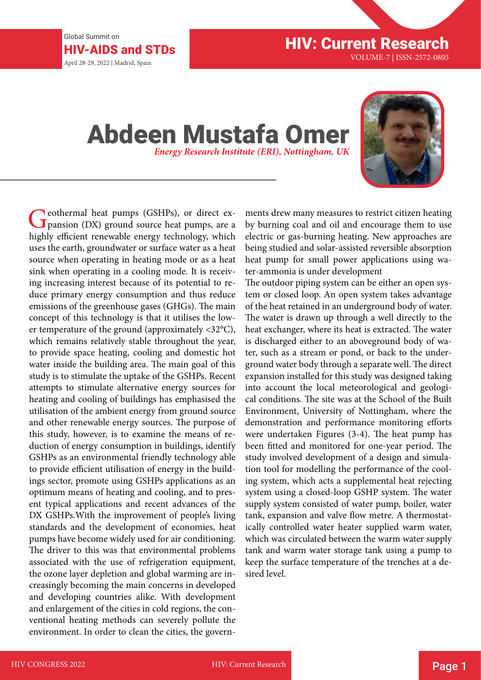Global Summit on April 28-29, 2022 | Madrid, Spain



## Abdeen Mustafa Omer *Energy Research Institute (ERI), Nottingham, UK*



Ceothermal heat pumps (GSHPs), or direct expansion (DX) ground source heat pumps, are a highly efficient renewable energy technology, which uses the earth, groundwater or surface water as a heat source when operating in heating mode or as a heat sink when operating in a cooling mode. It is receiving increasing interest because of its potential to reduce primary energy consumption and thus reduce emissions of the greenhouse gases (GHGs). The main concept of this technology is that it utilises the lower temperature of the ground (approximately <32°C), which remains relatively stable throughout the year, to provide space heating, cooling and domestic hot water inside the building area. The main goal of this study is to stimulate the uptake of the GSHPs. Recent attempts to stimulate alternative energy sources for heating and cooling of buildings has emphasised the utilisation of the ambient energy from ground source and other renewable energy sources. The purpose of this study, however, is to examine the means of reduction of energy consumption in buildings, identify GSHPs as an environmental friendly technology able to provide efficient utilisation of energy in the buildings sector, promote using GSHPs applications as an optimum means of heating and cooling, and to present typical applications and recent advances of the DX GSHPs.With the improvement of people's living standards and the development of economies, heat pumps have become widely used for air conditioning. The driver to this was that environmental problems associated with the use of refrigeration equipment, the ozone layer depletion and global warming are increasingly becoming the main concerns in developed and developing countries alike. With development and enlargement of the cities in cold regions, the conventional heating methods can severely pollute the environment. In order to clean the cities, the govern-

ments drew many measures to restrict citizen heating by burning coal and oil and encourage them to use electric or gas-burning heating. New approaches are being studied and solar-assisted reversible absorption heat pump for small power applications using water-ammonia is under development

The outdoor piping system can be either an open system or closed loop. An open system takes advantage of the heat retained in an underground body of water. The water is drawn up through a well directly to the heat exchanger, where its heat is extracted. The water is discharged either to an aboveground body of water, such as a stream or pond, or back to the underground water body through a separate well. The direct expansion installed for this study was designed taking into account the local meteorological and geological conditions. The site was at the School of the Built Environment, University of Nottingham, where the demonstration and performance monitoring efforts were undertaken Figures (3-4). The heat pump has been fitted and monitored for one-year period. The study involved development of a design and simulation tool for modelling the performance of the cooling system, which acts a supplemental heat rejecting system using a closed-loop GSHP system. The water supply system consisted of water pump, boiler, water tank, expansion and valve flow metre. A thermostatically controlled water heater supplied warm water, which was circulated between the warm water supply tank and warm water storage tank using a pump to keep the surface temperature of the trenches at a desired level.